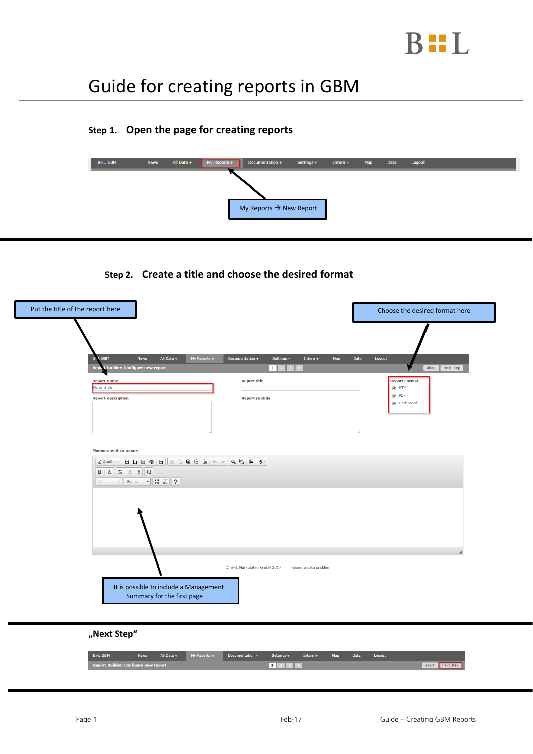

# Guide for creating reports in GBM

### **Step 1. Open the page for creating reports**



#### **Step 2. Create a title and choose the desired format**

| Put the title of the report here                                                                                                                                                                                                                                                                                                                                                                                                                                                                                                                                                                                                                                             |                                                     | Choose the desired format here          |
|------------------------------------------------------------------------------------------------------------------------------------------------------------------------------------------------------------------------------------------------------------------------------------------------------------------------------------------------------------------------------------------------------------------------------------------------------------------------------------------------------------------------------------------------------------------------------------------------------------------------------------------------------------------------------|-----------------------------------------------------|-----------------------------------------|
| All Data +<br>GBM<br>My Reports +<br><b>News</b><br>$B -$                                                                                                                                                                                                                                                                                                                                                                                                                                                                                                                                                                                                                    | Settings +<br>Documentation +<br>Intern $+$<br>Map  | Data<br>Logout                          |
| Builder: Configure new report<br><b>Repo</b>                                                                                                                                                                                                                                                                                                                                                                                                                                                                                                                                                                                                                                 | $1 \mid 2$                                          | abort next step<br><b>Report Format</b> |
| <b>Report name</b><br>NL und BE                                                                                                                                                                                                                                                                                                                                                                                                                                                                                                                                                                                                                                              | <b>Report title</b>                                 | <b>E</b> HTML<br>$\sqrt{ }$ PDF         |
| <b>Report description</b>                                                                                                                                                                                                                                                                                                                                                                                                                                                                                                                                                                                                                                                    | <b>Report subtitle</b>                              | Dashboard                               |
| <b>Management summary</b>                                                                                                                                                                                                                                                                                                                                                                                                                                                                                                                                                                                                                                                    |                                                     |                                         |
| $\boxed{\textcolor{red}{\textcolor{blue}{\textcolor{blue}{\textbf{A}}}}} \textcolor{red}{\textcolor{blue}{\textcolor{blue}{\textbf{A}}}} \textcolor{blue}{\textcolor{blue}{\textbf{A}}}} \textcolor{red}{\textcolor{blue}{\textbf{A}}}} \textcolor{red}{\textcolor{blue}{\textbf{A}}}} \textcolor{red}{\textcolor{blue}{\textbf{A}}}} \textcolor{red}{\textbf{A}} \textcolor{red}{\textbf{A}} \textcolor{red}{\textbf{B}} \textcolor{red}{\textbf{A}} \textcolor{red}{\textbf{B}} \textcolor{red}{\textbf{A}} \textcolor{red}{\textbf{A}} \textcolor{red}{\text$<br>$\boxed{\mathsf{B} \mid I_{\mathsf{x}} \mid \mathsf{E} \mid \mathsf{E} \mid \mathsf{E} \mid \mathsf{E}}$ |                                                     |                                         |
|                                                                                                                                                                                                                                                                                                                                                                                                                                                                                                                                                                                                                                                                              |                                                     |                                         |
|                                                                                                                                                                                                                                                                                                                                                                                                                                                                                                                                                                                                                                                                              | C B+L Marktdaten GmbH 2017<br>Report a data problem |                                         |
| It is possible to include a Management<br>Summary for the first page                                                                                                                                                                                                                                                                                                                                                                                                                                                                                                                                                                                                         |                                                     |                                         |
|                                                                                                                                                                                                                                                                                                                                                                                                                                                                                                                                                                                                                                                                              |                                                     |                                         |

#### **"Next Step"**

| B+L GBM                              | <b>News</b> | All Data + | My Reports + | Documentation + | $Settings +$ | Intern $+$ | Map | Data | Logout |                 |
|--------------------------------------|-------------|------------|--------------|-----------------|--------------|------------|-----|------|--------|-----------------|
| Report Builder: Configure new report |             |            |              |                 | 1 2 3 4      |            |     |      |        | abort next step |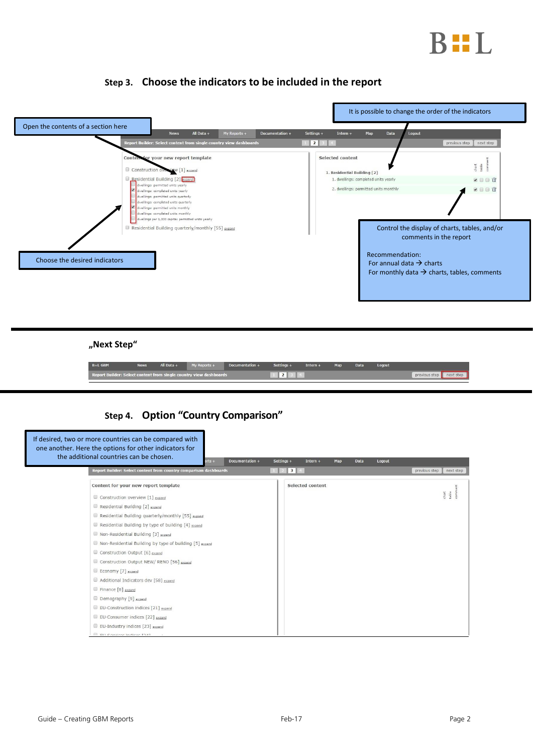

|                               | All Data +<br>My Reports +<br><b>News</b><br>Report Builder: Select content from single country view dashboards                                                                                                                                                                                            | Documentation + | Settings +<br>Intern $+$<br>$\vert$   2 | Map<br>Data<br>Logout                                                                                        | previous step<br>next step                                                                                                         |
|-------------------------------|------------------------------------------------------------------------------------------------------------------------------------------------------------------------------------------------------------------------------------------------------------------------------------------------------------|-----------------|-----------------------------------------|--------------------------------------------------------------------------------------------------------------|------------------------------------------------------------------------------------------------------------------------------------|
|                               | Contem for your new report template<br>Construction oversigw [1] expand<br>Residential Building [2] expand<br>ivellings: permitted units yearly<br>dwellings: completed units yearly<br>dwellings: permitted units quarterly<br>dwellings: completed units quarterly<br>dwellings: permitted units monthly |                 | Selected content                        | 1. Residential Building [2]<br>1. dwellings: completed units yearly<br>2. dwellings: permitted units monthly | $\frac{d}{dt}$<br><b>VIII</b><br><b>VIII</b>                                                                                       |
| Choose the desired indicators | dwellings: completed units monthly<br>dwellings per 1,000 capita: permitted units yearly<br>Residential Building quarterly/monthly [55] expand                                                                                                                                                             |                 |                                         | Recommendation:<br>For annual data $\rightarrow$ charts                                                      | Control the display of charts, tables, and/or<br>comments in the report<br>For monthly data $\rightarrow$ charts, tables, comments |
|                               |                                                                                                                                                                                                                                                                                                            |                 |                                         |                                                                                                              |                                                                                                                                    |

#### **Step 3. Choose the indicators to be included in the report**

**"Next Step"**

| B+L GBM | <b>News</b> | $All Data +$ | $My$ Reports +                                                     | Documentation + | $Settinas +$    | Intern $+$ | Map | Data | Logout |                         |  |
|---------|-------------|--------------|--------------------------------------------------------------------|-----------------|-----------------|------------|-----|------|--------|-------------------------|--|
|         |             |              | Report Builder: Select content from single country view dashboards |                 | 12 <sub>1</sub> |            |     |      |        | previous step next step |  |

## **Step 4. Option "Country Comparison"**

| If desired, two or more countries can be compared with<br>one another. Here the options for other indicators for<br>the additional countries can be chosen.<br>Documentation +<br>$v$ rts + | Settings +<br>Data<br>Logout<br>Intern $+$<br>Map |                                         |
|---------------------------------------------------------------------------------------------------------------------------------------------------------------------------------------------|---------------------------------------------------|-----------------------------------------|
| Report Builder: Select content from country comparison dashboards                                                                                                                           | $3 \parallel 4$                                   | previous step<br>next step              |
| Content for your new report template                                                                                                                                                        | Selected content                                  | tent                                    |
| Construction overview [1] expand                                                                                                                                                            |                                                   | $\frac{\mathrm{chart}}{\mathrm{table}}$ |
| Residential Building [2] expand                                                                                                                                                             |                                                   |                                         |
| Residential Building quarterly/monthly [55] expand                                                                                                                                          |                                                   |                                         |
| Residential Building by type of building [4] expand                                                                                                                                         |                                                   |                                         |
| Non-Residential Building [3] expand                                                                                                                                                         |                                                   |                                         |
| Non-Residential Building by type of building [5] expand                                                                                                                                     |                                                   |                                         |
| Construction Output [6] expand                                                                                                                                                              |                                                   |                                         |
| Construction Output NEW/RENO [56] expand                                                                                                                                                    |                                                   |                                         |
| Economy [7] expand                                                                                                                                                                          |                                                   |                                         |
| Additional Indicators dev [58] expand                                                                                                                                                       |                                                   |                                         |
| Finance [8] expand                                                                                                                                                                          |                                                   |                                         |
| Demography [9] expand                                                                                                                                                                       |                                                   |                                         |
| EU-Construction indices [21] expand                                                                                                                                                         |                                                   |                                         |
| EU-Consumer indices [22] expand                                                                                                                                                             |                                                   |                                         |
| EU-Industry indices [23] expand                                                                                                                                                             |                                                   |                                         |
| ELL Convices Indians [34]                                                                                                                                                                   |                                                   |                                         |